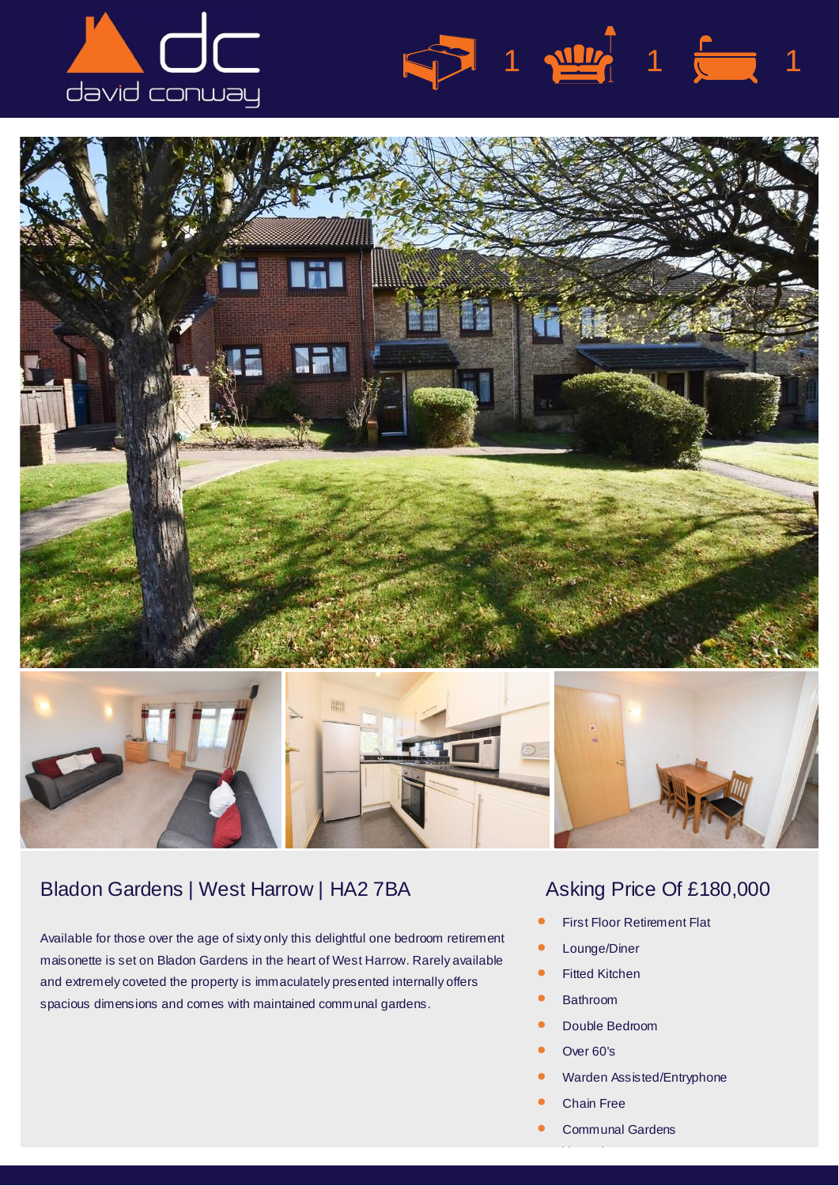





## Bladon Gardens | West Harrow | HA2 7BA Asking Price Of £180,000

Available for those over the age of sixty only this delightful one bedroom retirement maisonette is set on Bladon Gardens in the heart of West Harrow. Rarely available and extremely coveted the property is immaculately presented internally offers spacious dimensions and comes with maintained communal gardens.

 $1 \sqrt{117}$  1  $\sqrt{117}$  1

- *•* First Floor Retirement Flat
- *•* Lounge/Diner
- *•* Fitted Kitchen
- *•* Bathroom
- *•* Double Bedroom
- *•* Over 60's
- *•* Warden Assisted/Entryphone
- *•* Chain Free
- *•* Communal Gardens